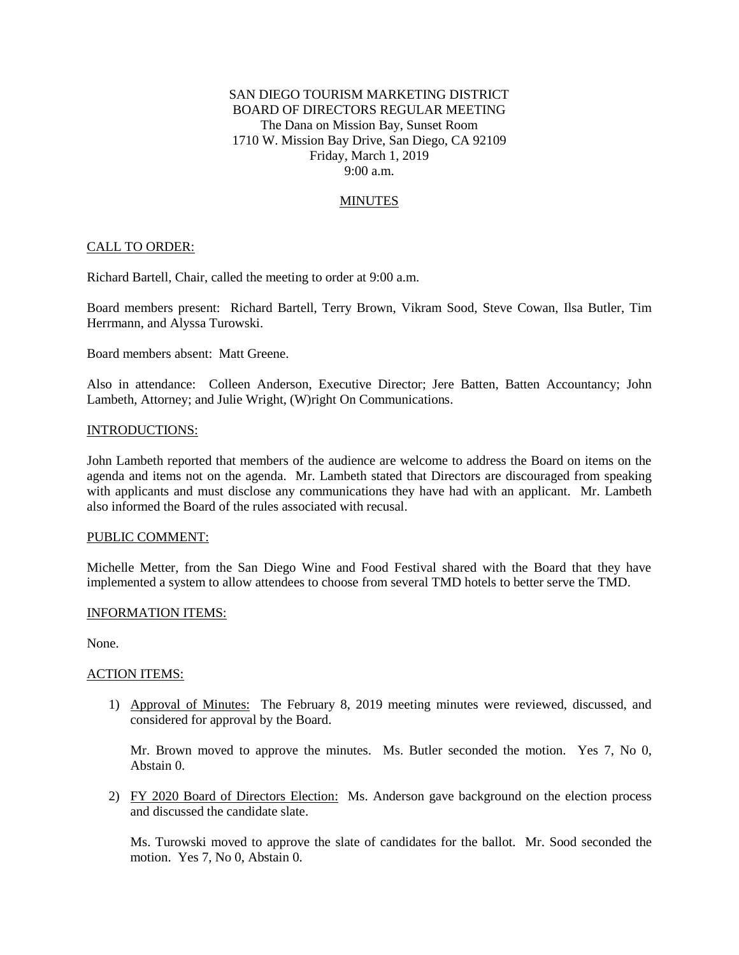# SAN DIEGO TOURISM MARKETING DISTRICT BOARD OF DIRECTORS REGULAR MEETING The Dana on Mission Bay, Sunset Room 1710 W. Mission Bay Drive, San Diego, CA 92109 Friday, March 1, 2019 9:00 a.m.

## **MINUTES**

### CALL TO ORDER:

Richard Bartell, Chair, called the meeting to order at 9:00 a.m.

Board members present: Richard Bartell, Terry Brown, Vikram Sood, Steve Cowan, Ilsa Butler, Tim Herrmann, and Alyssa Turowski.

Board members absent: Matt Greene.

Also in attendance: Colleen Anderson, Executive Director; Jere Batten, Batten Accountancy; John Lambeth, Attorney; and Julie Wright, (W)right On Communications.

#### INTRODUCTIONS:

John Lambeth reported that members of the audience are welcome to address the Board on items on the agenda and items not on the agenda. Mr. Lambeth stated that Directors are discouraged from speaking with applicants and must disclose any communications they have had with an applicant. Mr. Lambeth also informed the Board of the rules associated with recusal.

#### PUBLIC COMMENT:

Michelle Metter, from the San Diego Wine and Food Festival shared with the Board that they have implemented a system to allow attendees to choose from several TMD hotels to better serve the TMD.

#### INFORMATION ITEMS:

None.

#### ACTION ITEMS:

1) Approval of Minutes: The February 8, 2019 meeting minutes were reviewed, discussed, and considered for approval by the Board.

Mr. Brown moved to approve the minutes. Ms. Butler seconded the motion. Yes 7, No 0, Abstain 0.

2) FY 2020 Board of Directors Election: Ms. Anderson gave background on the election process and discussed the candidate slate.

Ms. Turowski moved to approve the slate of candidates for the ballot. Mr. Sood seconded the motion. Yes 7, No 0, Abstain 0.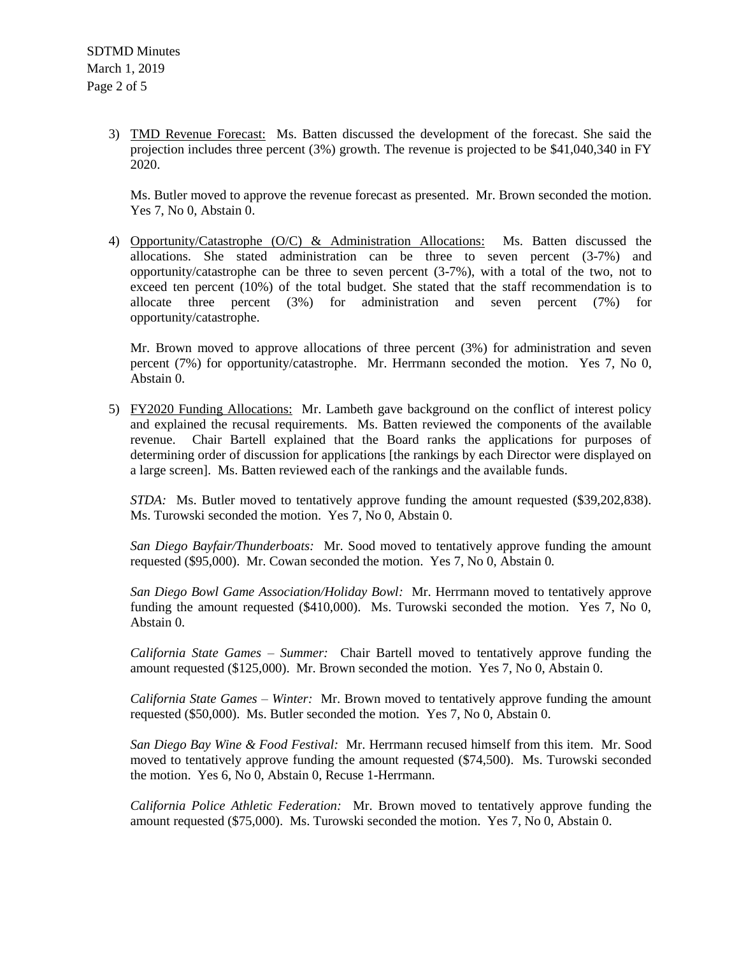3) TMD Revenue Forecast: Ms. Batten discussed the development of the forecast. She said the projection includes three percent (3%) growth. The revenue is projected to be \$41,040,340 in FY 2020.

Ms. Butler moved to approve the revenue forecast as presented. Mr. Brown seconded the motion. Yes 7, No 0, Abstain 0.

4) Opportunity/Catastrophe (O/C) & Administration Allocations: Ms. Batten discussed the allocations. She stated administration can be three to seven percent (3-7%) and opportunity/catastrophe can be three to seven percent (3-7%), with a total of the two, not to exceed ten percent (10%) of the total budget. She stated that the staff recommendation is to allocate three percent (3%) for administration and seven percent (7%) for opportunity/catastrophe.

Mr. Brown moved to approve allocations of three percent (3%) for administration and seven percent (7%) for opportunity/catastrophe. Mr. Herrmann seconded the motion. Yes 7, No 0, Abstain 0.

5) FY2020 Funding Allocations: Mr. Lambeth gave background on the conflict of interest policy and explained the recusal requirements. Ms. Batten reviewed the components of the available revenue. Chair Bartell explained that the Board ranks the applications for purposes of determining order of discussion for applications [the rankings by each Director were displayed on a large screen]. Ms. Batten reviewed each of the rankings and the available funds.

*STDA:* Ms. Butler moved to tentatively approve funding the amount requested (\$39,202,838). Ms. Turowski seconded the motion. Yes 7, No 0, Abstain 0.

*San Diego Bayfair/Thunderboats:* Mr. Sood moved to tentatively approve funding the amount requested (\$95,000). Mr. Cowan seconded the motion. Yes 7, No 0, Abstain 0.

*San Diego Bowl Game Association/Holiday Bowl:* Mr. Herrmann moved to tentatively approve funding the amount requested (\$410,000). Ms. Turowski seconded the motion. Yes 7, No 0, Abstain 0.

*California State Games – Summer:* Chair Bartell moved to tentatively approve funding the amount requested (\$125,000). Mr. Brown seconded the motion. Yes 7, No 0, Abstain 0.

*California State Games – Winter:* Mr. Brown moved to tentatively approve funding the amount requested (\$50,000). Ms. Butler seconded the motion. Yes 7, No 0, Abstain 0.

*San Diego Bay Wine & Food Festival:* Mr. Herrmann recused himself from this item. Mr. Sood moved to tentatively approve funding the amount requested (\$74,500). Ms. Turowski seconded the motion. Yes 6, No 0, Abstain 0, Recuse 1-Herrmann.

*California Police Athletic Federation:* Mr. Brown moved to tentatively approve funding the amount requested (\$75,000). Ms. Turowski seconded the motion. Yes 7, No 0, Abstain 0.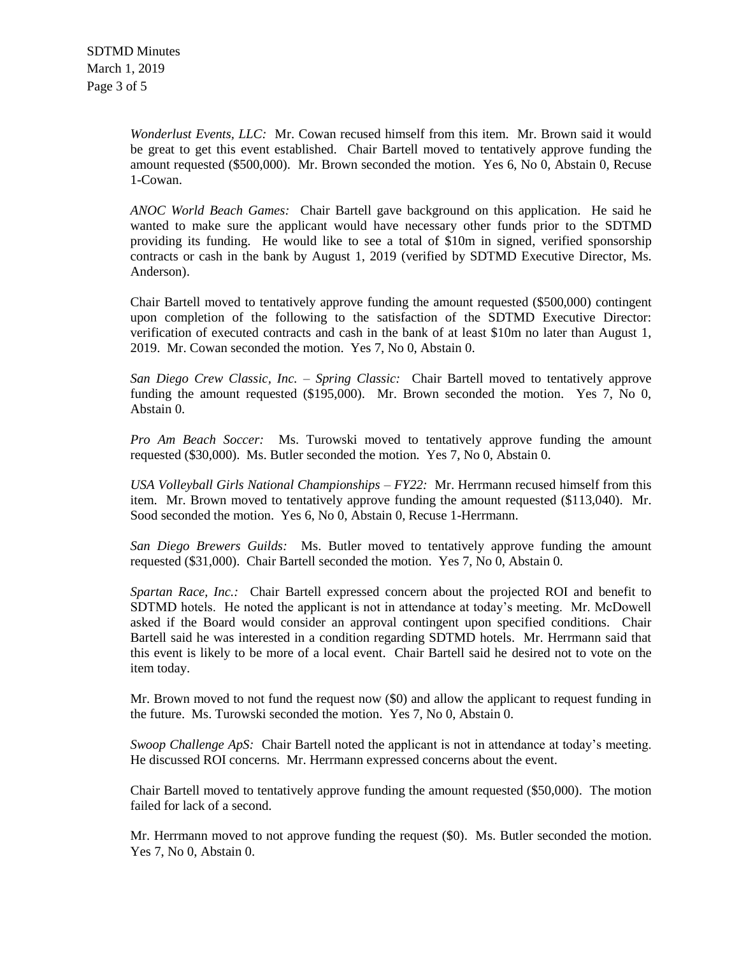*Wonderlust Events, LLC:* Mr. Cowan recused himself from this item. Mr. Brown said it would be great to get this event established. Chair Bartell moved to tentatively approve funding the amount requested (\$500,000). Mr. Brown seconded the motion. Yes 6, No 0, Abstain 0, Recuse 1-Cowan.

*ANOC World Beach Games:* Chair Bartell gave background on this application. He said he wanted to make sure the applicant would have necessary other funds prior to the SDTMD providing its funding. He would like to see a total of \$10m in signed, verified sponsorship contracts or cash in the bank by August 1, 2019 (verified by SDTMD Executive Director, Ms. Anderson).

Chair Bartell moved to tentatively approve funding the amount requested (\$500,000) contingent upon completion of the following to the satisfaction of the SDTMD Executive Director: verification of executed contracts and cash in the bank of at least \$10m no later than August 1, 2019. Mr. Cowan seconded the motion. Yes 7, No 0, Abstain 0.

*San Diego Crew Classic, Inc. – Spring Classic:* Chair Bartell moved to tentatively approve funding the amount requested (\$195,000). Mr. Brown seconded the motion. Yes 7, No 0, Abstain 0.

*Pro Am Beach Soccer:* Ms. Turowski moved to tentatively approve funding the amount requested (\$30,000). Ms. Butler seconded the motion. Yes 7, No 0, Abstain 0.

*USA Volleyball Girls National Championships – FY22:* Mr. Herrmann recused himself from this item. Mr. Brown moved to tentatively approve funding the amount requested (\$113,040). Mr. Sood seconded the motion. Yes 6, No 0, Abstain 0, Recuse 1-Herrmann.

*San Diego Brewers Guilds:* Ms. Butler moved to tentatively approve funding the amount requested (\$31,000). Chair Bartell seconded the motion. Yes 7, No 0, Abstain 0.

*Spartan Race, Inc.:* Chair Bartell expressed concern about the projected ROI and benefit to SDTMD hotels. He noted the applicant is not in attendance at today's meeting. Mr. McDowell asked if the Board would consider an approval contingent upon specified conditions. Chair Bartell said he was interested in a condition regarding SDTMD hotels. Mr. Herrmann said that this event is likely to be more of a local event. Chair Bartell said he desired not to vote on the item today.

Mr. Brown moved to not fund the request now (\$0) and allow the applicant to request funding in the future. Ms. Turowski seconded the motion. Yes 7, No 0, Abstain 0.

*Swoop Challenge ApS:* Chair Bartell noted the applicant is not in attendance at today's meeting. He discussed ROI concerns. Mr. Herrmann expressed concerns about the event.

Chair Bartell moved to tentatively approve funding the amount requested (\$50,000). The motion failed for lack of a second.

Mr. Herrmann moved to not approve funding the request (\$0). Ms. Butler seconded the motion. Yes 7, No 0, Abstain 0.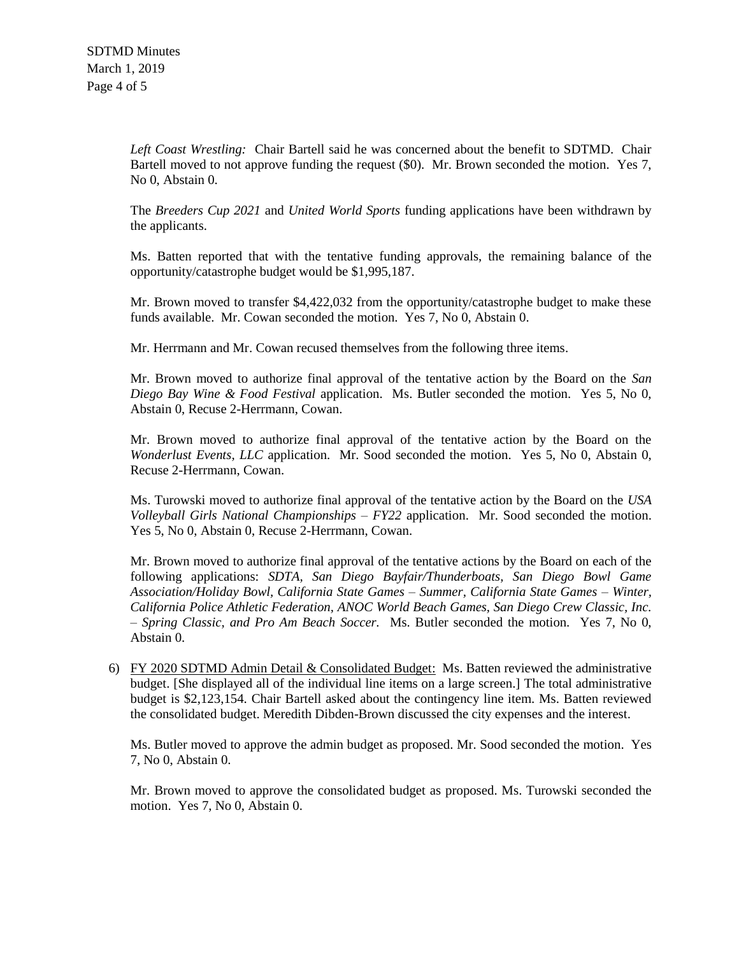*Left Coast Wrestling:* Chair Bartell said he was concerned about the benefit to SDTMD. Chair Bartell moved to not approve funding the request (\$0). Mr. Brown seconded the motion. Yes 7, No 0, Abstain 0.

The *Breeders Cup 2021* and *United World Sports* funding applications have been withdrawn by the applicants.

Ms. Batten reported that with the tentative funding approvals, the remaining balance of the opportunity/catastrophe budget would be \$1,995,187.

Mr. Brown moved to transfer \$4,422,032 from the opportunity/catastrophe budget to make these funds available. Mr. Cowan seconded the motion. Yes 7, No 0, Abstain 0.

Mr. Herrmann and Mr. Cowan recused themselves from the following three items.

Mr. Brown moved to authorize final approval of the tentative action by the Board on the *San Diego Bay Wine & Food Festival* application. Ms. Butler seconded the motion. Yes 5, No 0, Abstain 0, Recuse 2-Herrmann, Cowan.

Mr. Brown moved to authorize final approval of the tentative action by the Board on the *Wonderlust Events, LLC* application. Mr. Sood seconded the motion. Yes 5, No 0, Abstain 0, Recuse 2-Herrmann, Cowan.

Ms. Turowski moved to authorize final approval of the tentative action by the Board on the *USA Volleyball Girls National Championships – FY22* application. Mr. Sood seconded the motion. Yes 5, No 0, Abstain 0, Recuse 2-Herrmann, Cowan.

Mr. Brown moved to authorize final approval of the tentative actions by the Board on each of the following applications: *SDTA, San Diego Bayfair/Thunderboats, San Diego Bowl Game Association/Holiday Bowl, California State Games – Summer, California State Games – Winter, California Police Athletic Federation, ANOC World Beach Games, San Diego Crew Classic, Inc. – Spring Classic, and Pro Am Beach Soccer.* Ms. Butler seconded the motion. Yes 7, No 0, Abstain 0.

6) FY 2020 SDTMD Admin Detail & Consolidated Budget: Ms. Batten reviewed the administrative budget. [She displayed all of the individual line items on a large screen.] The total administrative budget is \$2,123,154. Chair Bartell asked about the contingency line item. Ms. Batten reviewed the consolidated budget. Meredith Dibden-Brown discussed the city expenses and the interest.

Ms. Butler moved to approve the admin budget as proposed. Mr. Sood seconded the motion. Yes 7, No 0, Abstain 0.

Mr. Brown moved to approve the consolidated budget as proposed. Ms. Turowski seconded the motion. Yes 7, No 0, Abstain 0.